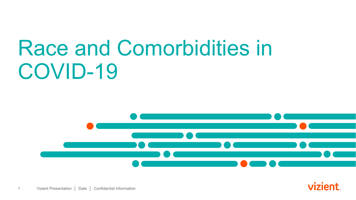# Race and Comorbidities in COVID-19



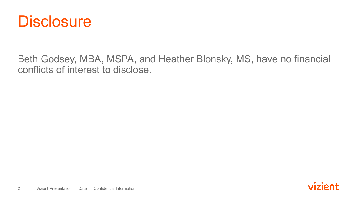

Beth Godsey, MBA, MSPA, and Heather Blonsky, MS, have no financial conflicts of interest to disclose.

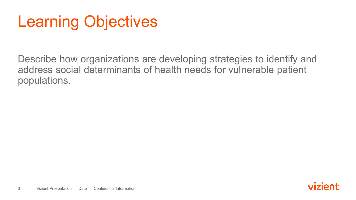# Learning Objectives

Describe how organizations are developing strategies to identify and address social determinants of health needs for vulnerable patient populations.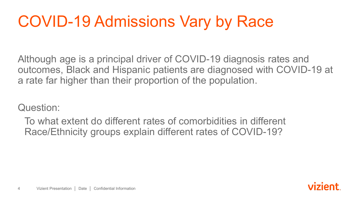# COVID-19 Admissions Vary by Race

Although age is a principal driver of COVID-19 diagnosis rates and outcomes, Black and Hispanic patients are diagnosed with COVID-19 at a rate far higher than their proportion of the population.

Question:

To what extent do different rates of comorbidities in different Race/Ethnicity groups explain different rates of COVID-19?

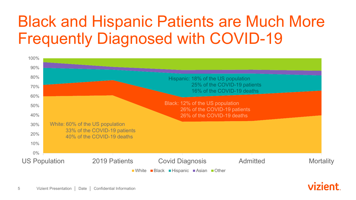#### Black and Hispanic Patients are Much More Frequently Diagnosed with COVID-19



vizient.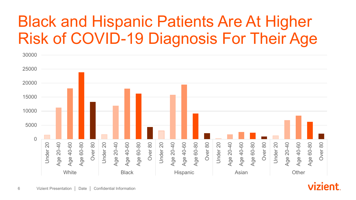#### Black and Hispanic Patients Are At Higher Risk of COVID-19 Diagnosis For Their Age

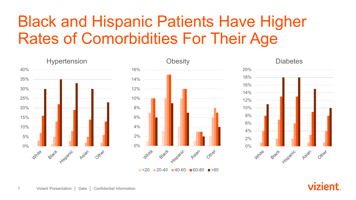## Black and Hispanic Patients Have Higher Rates of Comorbidities For Their Age



 $\blacksquare$ <20 20-40 40-60 60-80  $\blacksquare$ >80

vizient.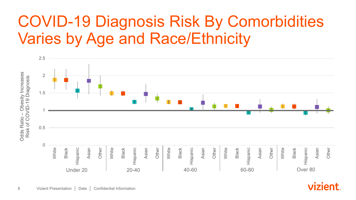#### COVID-19 Diagnosis Risk By Comorbidities Varies by Age and Race/Ethnicity



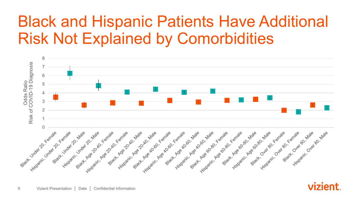#### Black and Hispanic Patients Have Additional Risk Not Explained by Comorbidities



vizient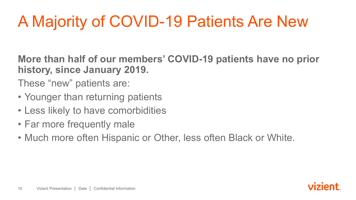# A Majority of COVID-19 Patients Are New

**More than half of our members' COVID-19 patients have no prior history, since January 2019.**

These "new" patients are:

- Younger than returning patients
- Less likely to have comorbidities
- Far more frequently male
- Much more often Hispanic or Other, less often Black or White.

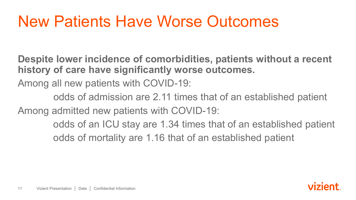### New Patients Have Worse Outcomes

**Despite lower incidence of comorbidities, patients without a recent history of care have significantly worse outcomes.**

Among all new patients with COVID-19:

odds of admission are 2.11 times that of an established patient Among admitted new patients with COVID-19:

> odds of an ICU stay are 1.34 times that of an established patient odds of mortality are 1.16 that of an established patient

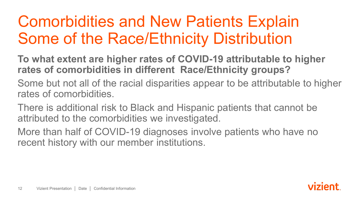#### Comorbidities and New Patients Explain Some of the Race/Ethnicity Distribution

**To what extent are higher rates of COVID-19 attributable to higher rates of comorbidities in different Race/Ethnicity groups?**

Some but not all of the racial disparities appear to be attributable to higher rates of comorbidities.

There is additional risk to Black and Hispanic patients that cannot be attributed to the comorbidities we investigated.

More than half of COVID-19 diagnoses involve patients who have no recent history with our member institutions.